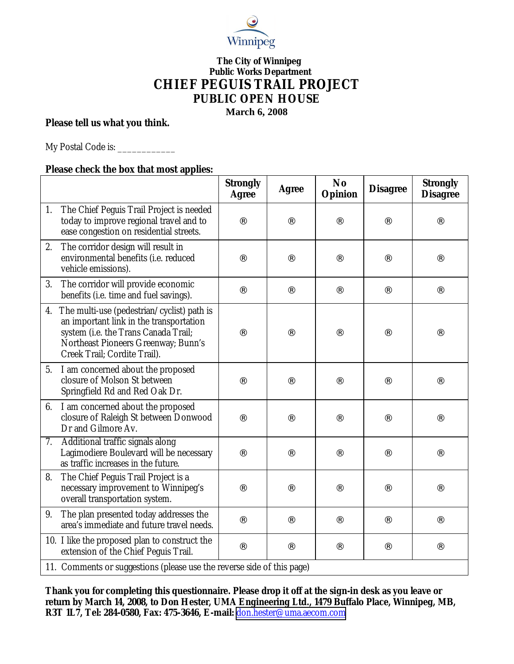

## **The City of Winnipeg Public Works Department CHIEF PEGUIS TRAIL PROJECT PUBLIC OPEN HOUSE March 6, 2008**

**Please tell us what you think.**

My Postal Code is: \_\_\_\_\_\_\_\_\_\_\_\_\_\_\_

**Please check the box that most applies:**

|    |                                                                                                                                                                                                      | Strongly<br>Agree    | Agree                | <b>No</b><br>Opinion | <b>Disagree</b>      | Strongly<br><b>Disagree</b> |  |  |  |
|----|------------------------------------------------------------------------------------------------------------------------------------------------------------------------------------------------------|----------------------|----------------------|----------------------|----------------------|-----------------------------|--|--|--|
| 1. | The Chief Peguis Trail Project is needed<br>today to improve regional travel and to<br>ease congestion on residential streets.                                                                       |                      |                      |                      |                      |                             |  |  |  |
| 2. | The corridor design will result in<br>environmental benefits (i.e. reduced<br>vehicle emissions).                                                                                                    |                      |                      |                      | $\ddot{\phantom{0}}$ |                             |  |  |  |
| 3. | The corridor will provide economic<br>benefits (i.e. time and fuel savings).                                                                                                                         | $\ddot{\phantom{a}}$ | $\ddot{\phantom{0}}$ | $\cdot$ $\cdot$      | $\ddot{\phantom{0}}$ | $\ddot{\phantom{0}}$        |  |  |  |
| 4. | The multi-use (pedestrian/cyclist) path is<br>an important link in the transportation<br>system (i.e. the Trans Canada Trail;<br>Northeast Pioneers Greenway; Bunn's<br>Creek Trail; Cordite Trail). |                      |                      |                      |                      |                             |  |  |  |
| 5. | I am concerned about the proposed<br>closure of Molson St between<br>Springfield Rd and Red Oak Dr.                                                                                                  |                      |                      |                      | $\ddot{\phantom{0}}$ |                             |  |  |  |
| 6. | I am concerned about the proposed<br>closure of Raleigh St between Donwood<br>Dr and Gilmore Av.                                                                                                     |                      | $\ddot{\phantom{a}}$ | $\ddot{\phantom{0}}$ | $\ddot{\phantom{0}}$ |                             |  |  |  |
| 7. | Additional traffic signals along<br>Lagimodiere Boulevard will be necessary<br>as traffic increases in the future.                                                                                   |                      | . .                  | . .                  | $\ddot{\phantom{0}}$ |                             |  |  |  |
| 8. | The Chief Peguis Trail Project is a<br>necessary improvement to Winnipeg's<br>overall transportation system.                                                                                         |                      | $\ddot{\phantom{0}}$ |                      | $\ddot{\phantom{0}}$ |                             |  |  |  |
| 9. | The plan presented today addresses the<br>area's immediate and future travel needs.                                                                                                                  | $\ddot{\phantom{a}}$ | $\ddot{\phantom{0}}$ | $\ddot{\phantom{a}}$ | $\ddot{\phantom{0}}$ | $\ddotsc$                   |  |  |  |
|    | 10. I like the proposed plan to construct the<br>extension of the Chief Peguis Trail.                                                                                                                | $\ddot{\phantom{0}}$ | $\ddot{\phantom{0}}$ | $\ddot{\phantom{0}}$ | $\ddot{\phantom{0}}$ |                             |  |  |  |
|    | 11. Comments or suggestions (please use the reverse side of this page)                                                                                                                               |                      |                      |                      |                      |                             |  |  |  |

**Thank you for completing this questionnaire. Please drop it off at the sign-in desk as you leave or return by March 14, 2008, to Don Hester, UMA Engineering Ltd., 1479 Buffalo Place, Winnipeg, MB, R3T 1L7, Tel: 284-0580, Fax: 475-3646, E-mail:** [don.hester@uma.aecom.com](mailto:don.hester@uma.aecom.com)